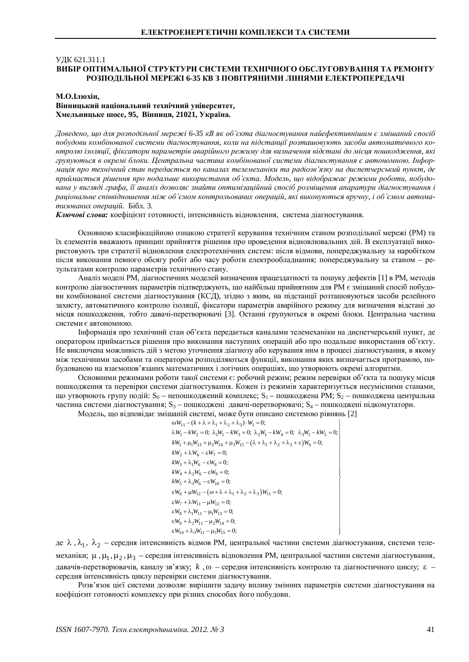## ɍȾɄ 621.311.1 ВИБІР ОПТИМАЛЬНОЇ СТРУКТУРИ СИСТЕМИ ТЕХНІЧНОГО ОБСЛУГОВУВАННЯ ТА РЕМОНТУ РОЗПОЛІЛЬНОЇ МЕРЕЖІ 6-35 КВ З ПОВІТРЯНИМИ ЛІНІЯМИ ЕЛЕКТРОПЕРЕЛАЧІ

## М.О. Ілюхін,

Вінницький національний технічний університет, **ɏɦɟɥɶɧɢɰɶɤɟɲɨɫɟ, 95, ȼɿɧɧɢɰɹ, 21021, ɍɤɪɚʀɧɚ.**

Доведено, що для розподільної мережі 6-35 кВ як об'єкта діагностування найефективнішим є змішаний спосіб побудови комбінованої системи діагностування, коли на підстаниії розташовують засоби автоматичного контролю ізоляції, фіксатори параметрів аварійного режиму для визначення відстані до місця пошкодження, які групуються в окремі блоки. Центральна частина комбінованої системи діагностування є автономною. Інфор*ɦɚɰɿɹɩɪɨɬɟɯɧɿɱɧɢɣɫɬɚɧɩɟɪɟɞɚɽɬɶɫɹɩɨɤɚɧɚɥɚɯɬɟɥɟɦɟɯɚɧɿɤɢɬɚɪɚɞɿɨɡɜ¶ɹɡɤɭɧɚɞɢɫɩɟɬɱɟɪɫɶɤɢɣɩɭɧɤɬ, ɞɟ* приймається рішення про подальше використання об'єкта. Модель, шо відображає режими роботи, побудована у вигляді графа, її аналіз дозволяє знайти оптимізаційний спосіб розмішення апаратури діагностування і раціональне співвідношення між об'ємом контрольованих операцій, які виконуються вручну, і об'ємом автома*тизованих операцій.* Бібл. 3.

Ключові слова: коефіцієнт готовності, інтенсивність відновлення, система діагностування.

Основною класифікаційною ознакою стратегії керування технічним станом розподільної мережі (РМ) та їх елементів вважають принцип прийняття рішення про проведення відновлювальних дій. В експлуатації використовують три стратегії відновлення електротехнічних систем: після відмови, попереджувальну за наробітком після виконання певного обсягу робіт або часу роботи електрообладнання; попереджувальну за станом – результатами контролю параметрів технічного стану.

Аналіз моделі РМ, діагностичних моделей визначення працездатності та пошуку дефектів [1] в РМ, методів контролю ліагностичних параметрів пілтверлжують, що найбільш прийнятним для РМ є змішаний спосіб побулови комбінованої системи діагностування (КСД), згідно з яким, на підстанції розташовуються засоби релейного захисту, автоматичного контролю ізоляції, фіксатори параметрів аварійного режиму для визначення відстані до місця пошкодження, тобто давачі-перетворювачі [3]. Останні групуються в окремі блоки. Центральна частина системи є автономною.

Iнформація про технічний стан об'єкта передається каналами телемеханіки на диспетчерський пункт, де оператором приймається рішення про виконання наступних операцій або про подальше використання об'єкту. Не виключена можливість дій з метою уточнення діагнозу або керування ним в процесі діагностування, в якому між технічними засобами та оператором розподіляються функції, виконання яких визначається програмою, побулованою на взаємопов'язаних математичних і логічних операціях, що утворюють окремі алгоритми.

Основними режимами роботи такої системи є: робочий режим; режим перевірки об'єкта та пошуку місця пошкодження та перевірки системи діагностування. Кожен із режимів характеризується несумісними станами, що утворюють групу подій: S<sub>0</sub> – непошкоджений комплекс; S<sub>1</sub> – пошкоджена PM; S<sub>2</sub> – пошкоджена центральна частина системи діагностування; S<sub>3</sub> – пошкоджені давачі-перетворювачі; S<sub>4</sub> – пошкоджені підкомутатори.

Модель, що відповідає змішаній системі, може бути описано системою рівнянь [2]

 $kW_1 + \mu_1 W_{13} + \mu_2 W_{14} + \mu_3 W_{15} - (\lambda + \lambda_1 + \lambda_2 + \lambda_3 + \varepsilon)W_6 = 0;$  $\epsilon W_6 + \mu W_{12} - (\omega + \lambda + \lambda_1 + \lambda_2 + \lambda_3) W_{11} = 0;$  $\omega W_{11} - (k + \lambda + \lambda_1 + \lambda_2 + \lambda_3) \cdot W_1 = 0;$  $\lambda W_1 - kW_2 = 0; \ \lambda_1 W_1 - kW_3 = 0; \ \lambda_2 W_1 - kW_4 = 0; \ \lambda_3 W_1 - kW_5 = 0;$  $kW_2 + \lambda W_6 - \varepsilon W_7 = 0;$  $kW_3 + \lambda_1 W_6 - \varepsilon W_8 = 0;$  $kW_4 + \lambda_2 W_6 - \varepsilon W_9 = 0;$  $kW_5 + \lambda_3 W_6 - \varepsilon W_{10} = 0;$  $\epsilon W_7 + \lambda W_{11} - \mu W_{12} = 0;$  $\epsilon W_8 + \lambda_1 W_{11} - \mu_1 W_{13} = 0;$  $\epsilon W_9 + \lambda_2 W_{11} - \mu_2 W_{14} = 0;$  $\epsilon W_{10} + \lambda_3 W_{11} - \mu_3 W_{15} = 0;$ 

 $\vert$ 

 $\overline{\phantom{a}}$  $\overline{\phantom{a}}$  $\overline{\phantom{a}}$  $\overline{\phantom{a}}$  $\overline{\phantom{a}}$  $\mid$ ¾  $\overline{\phantom{a}}$  $\overline{\phantom{a}}$  $\overline{\phantom{a}}$  $\overline{\phantom{a}}$ 

де  $\lambda$ ,  $\lambda_1$ ,  $\lambda_2$  – середня інтенсивність відмов РМ, центральної частини системи діагностування, системи телемеханіки;  $\mu$ ,  $\mu_1$ ,  $\mu_2$ ,  $\mu_3$  – середня інтенсивність відновлення РМ, центральної частини системи діагностування, давачів-перетворювачів, каналу зв'язку; *k*,  $\omega$  – середня інтенсивність контролю та діагностичного циклу;  $\varepsilon$  – середня інтенсивність циклу перевірки системи діагностування.

Розв'язок цієї системи дозволяє вирішити задачу впливу змінних параметрів системи діагностування на коефіцієнт готовності комплексу при різних способах його побудови.